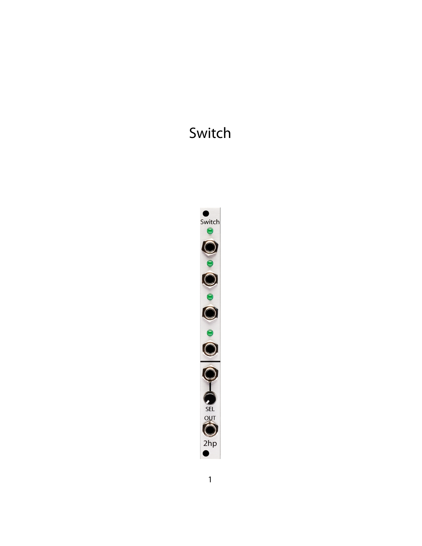# Switch

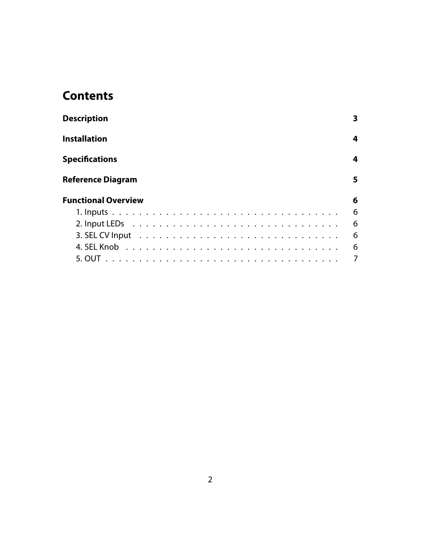# **Contents**

| <b>Description</b>         | 3              |
|----------------------------|----------------|
| <b>Installation</b>        | 4              |
| <b>Specifications</b>      | 4              |
| <b>Reference Diagram</b>   | 5.             |
| <b>Functional Overview</b> | 6              |
|                            | 6              |
|                            | 6              |
|                            | 6              |
|                            | 6              |
|                            | $\overline{7}$ |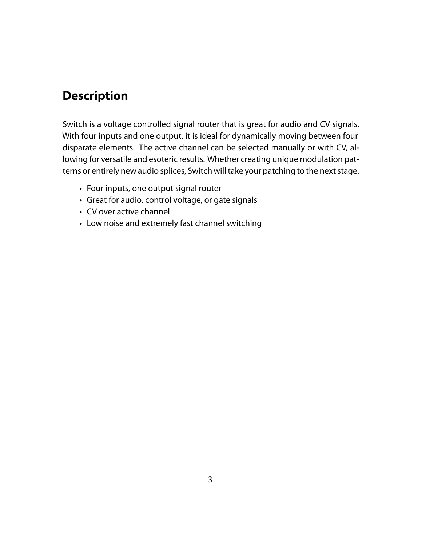#### <span id="page-2-0"></span>**Description**

Switch is a voltage controlled signal router that is great for audio and CV signals. With four inputs and one output, it is ideal for dynamically moving between four disparate elements. The active channel can be selected manually or with CV, allowing for versatile and esoteric results. Whether creating unique modulation patterns or entirely new audio splices, Switch will take your patching to the next stage.

- Four inputs, one output signal router
- Great for audio, control voltage, or gate signals
- CV over active channel
- Low noise and extremely fast channel switching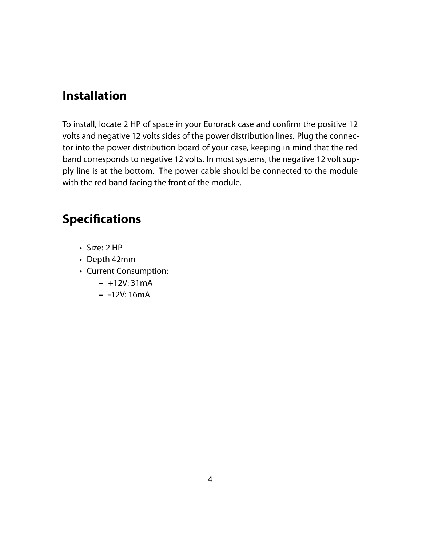#### <span id="page-3-0"></span>**Installation**

To install, locate 2 HP of space in your Eurorack case and confirm the positive 12 volts and negative 12 volts sides of the power distribution lines. Plug the connector into the power distribution board of your case, keeping in mind that the red band corresponds to negative 12 volts. In most systems, the negative 12 volt supply line is at the bottom. The power cable should be connected to the module with the red band facing the front of the module.

# <span id="page-3-1"></span>**Specifications**

- Size: 2 HP
- Depth 42mm
- Current Consumption:
	- **–** +12V: 31mA
	- **–** -12V: 16mA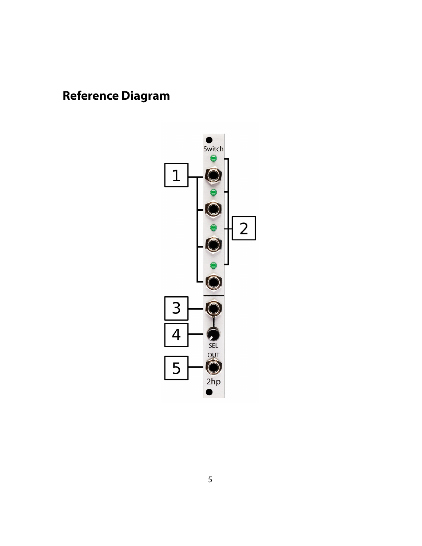# <span id="page-4-0"></span>**Reference Diagram**

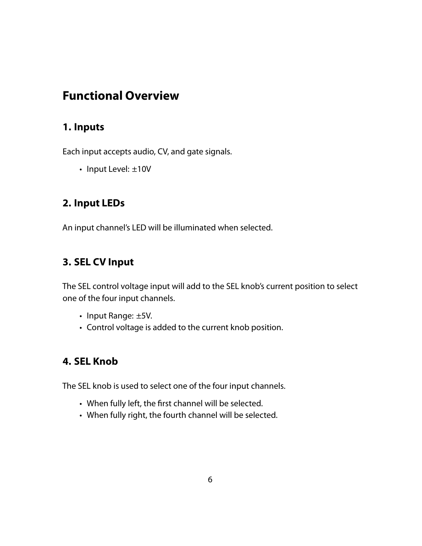# <span id="page-5-0"></span>**Functional Overview**

#### <span id="page-5-1"></span>**1. Inputs**

Each input accepts audio, CV, and gate signals.

• Input Level: ±10V

#### <span id="page-5-2"></span>**2. Input LEDs**

An input channel's LED will be illuminated when selected.

#### <span id="page-5-3"></span>**3. SEL CV Input**

The SEL control voltage input will add to the SEL knob's current position to select one of the four input channels.

- Input Range: ±5V.
- Control voltage is added to the current knob position.

#### <span id="page-5-4"></span>**4. SEL Knob**

The SEL knob is used to select one of the four input channels.

- When fully left, the first channel will be selected.
- When fully right, the fourth channel will be selected.